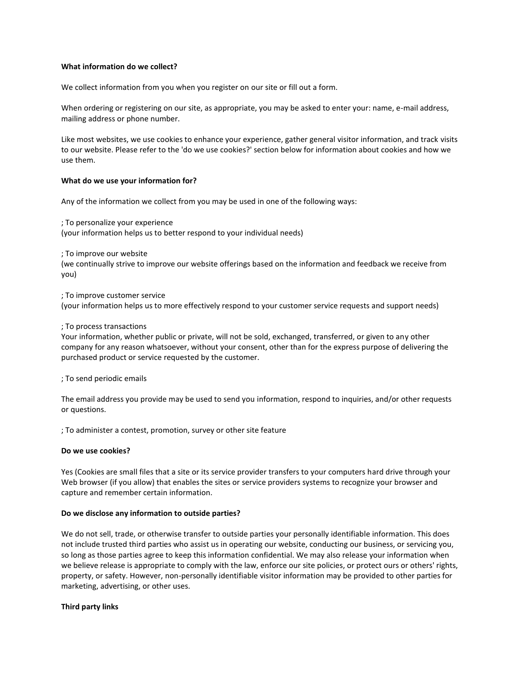### **What information do we collect?**

We collect information from you when you register on our site or fill out a form.

When ordering or registering on our site, as appropriate, you may be asked to enter your: name, e-mail address, mailing address or phone number.

Like most websites, we use cookies to enhance your experience, gather general visitor information, and track visits to our website. Please refer to the 'do we use cookies?' section below for information about cookies and how we use them.

### **What do we use your information for?**

Any of the information we collect from you may be used in one of the following ways:

; To personalize your experience (your information helps us to better respond to your individual needs)

; To improve our website

(we continually strive to improve our website offerings based on the information and feedback we receive from you)

; To improve customer service (your information helps us to more effectively respond to your customer service requests and support needs)

### ; To process transactions

Your information, whether public or private, will not be sold, exchanged, transferred, or given to any other company for any reason whatsoever, without your consent, other than for the express purpose of delivering the purchased product or service requested by the customer.

; To send periodic emails

The email address you provide may be used to send you information, respond to inquiries, and/or other requests or questions.

; To administer a contest, promotion, survey or other site feature

#### **Do we use cookies?**

Yes (Cookies are small files that a site or its service provider transfers to your computers hard drive through your Web browser (if you allow) that enables the sites or service providers systems to recognize your browser and capture and remember certain information.

### **Do we disclose any information to outside parties?**

We do not sell, trade, or otherwise transfer to outside parties your personally identifiable information. This does not include trusted third parties who assist us in operating our website, conducting our business, or servicing you, so long as those parties agree to keep this information confidential. We may also release your information when we believe release is appropriate to comply with the law, enforce our site policies, or protect ours or others' rights, property, or safety. However, non-personally identifiable visitor information may be provided to other parties for marketing, advertising, or other uses.

## **Third party links**